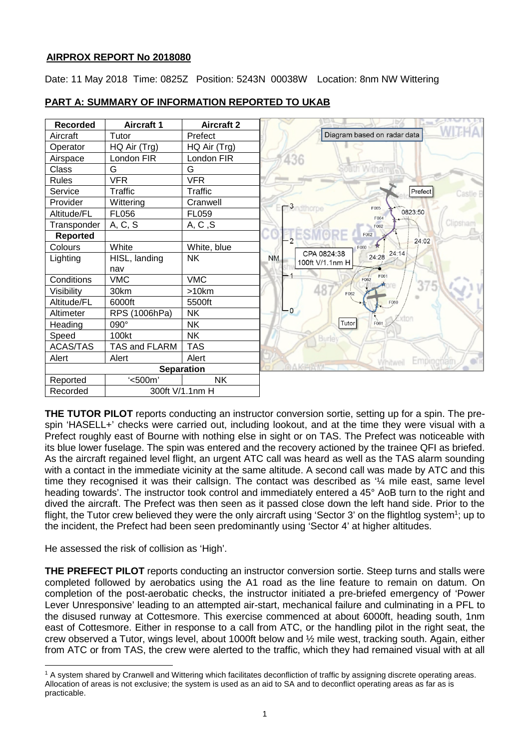## **AIRPROX REPORT No 2018080**

Date: 11 May 2018 Time: 0825Z Position: 5243N 00038W Location: 8nm NW Wittering



# **PART A: SUMMARY OF INFORMATION REPORTED TO UKAB**

**THE TUTOR PILOT** reports conducting an instructor conversion sortie, setting up for a spin. The prespin 'HASELL+' checks were carried out, including lookout, and at the time they were visual with a Prefect roughly east of Bourne with nothing else in sight or on TAS. The Prefect was noticeable with its blue lower fuselage. The spin was entered and the recovery actioned by the trainee QFI as briefed. As the aircraft regained level flight, an urgent ATC call was heard as well as the TAS alarm sounding with a contact in the immediate vicinity at the same altitude. A second call was made by ATC and this time they recognised it was their callsign. The contact was described as '¼ mile east, same level heading towards'. The instructor took control and immediately entered a 45° AoB turn to the right and dived the aircraft. The Prefect was then seen as it passed close down the left hand side. Prior to the flight, the Tutor crew believed they were the only aircraft using 'Sector 3' on the flightlog system<sup>1</sup>; up to the incident, the Prefect had been seen predominantly using 'Sector 4' at higher altitudes.

He assessed the risk of collision as 'High'.

 $\overline{\phantom{a}}$ 

**THE PREFECT PILOT** reports conducting an instructor conversion sortie. Steep turns and stalls were completed followed by aerobatics using the A1 road as the line feature to remain on datum. On completion of the post-aerobatic checks, the instructor initiated a pre-briefed emergency of 'Power Lever Unresponsive' leading to an attempted air-start, mechanical failure and culminating in a PFL to the disused runway at Cottesmore. This exercise commenced at about 6000ft, heading south, 1nm east of Cottesmore. Either in response to a call from ATC, or the handling pilot in the right seat, the crew observed a Tutor, wings level, about 1000ft below and ½ mile west, tracking south. Again, either from ATC or from TAS, the crew were alerted to the traffic, which they had remained visual with at all

<sup>&</sup>lt;sup>1</sup> A system shared by Cranwell and Wittering which facilitates deconfliction of traffic by assigning discrete operating areas. Allocation of areas is not exclusive; the system is used as an aid to SA and to deconflict operating areas as far as is practicable.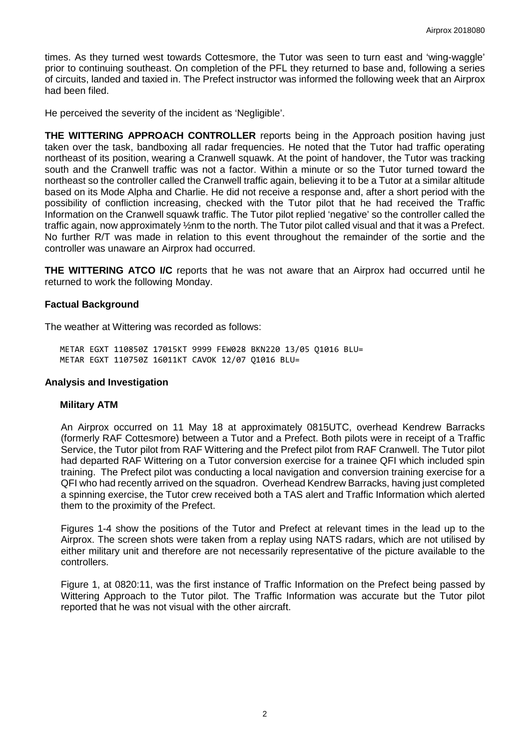times. As they turned west towards Cottesmore, the Tutor was seen to turn east and 'wing-waggle' prior to continuing southeast. On completion of the PFL they returned to base and, following a series of circuits, landed and taxied in. The Prefect instructor was informed the following week that an Airprox had been filed.

He perceived the severity of the incident as 'Negligible'.

**THE WITTERING APPROACH CONTROLLER** reports being in the Approach position having just taken over the task, bandboxing all radar frequencies. He noted that the Tutor had traffic operating northeast of its position, wearing a Cranwell squawk. At the point of handover, the Tutor was tracking south and the Cranwell traffic was not a factor. Within a minute or so the Tutor turned toward the northeast so the controller called the Cranwell traffic again, believing it to be a Tutor at a similar altitude based on its Mode Alpha and Charlie. He did not receive a response and, after a short period with the possibility of confliction increasing, checked with the Tutor pilot that he had received the Traffic Information on the Cranwell squawk traffic. The Tutor pilot replied 'negative' so the controller called the traffic again, now approximately ½nm to the north. The Tutor pilot called visual and that it was a Prefect. No further R/T was made in relation to this event throughout the remainder of the sortie and the controller was unaware an Airprox had occurred.

**THE WITTERING ATCO I/C** reports that he was not aware that an Airprox had occurred until he returned to work the following Monday.

### **Factual Background**

The weather at Wittering was recorded as follows:

METAR EGXT 110850Z 17015KT 9999 FEW028 BKN220 13/05 Q1016 BLU= METAR EGXT 110750Z 16011KT CAVOK 12/07 Q1016 BLU=

#### **Analysis and Investigation**

#### **Military ATM**

An Airprox occurred on 11 May 18 at approximately 0815UTC, overhead Kendrew Barracks (formerly RAF Cottesmore) between a Tutor and a Prefect. Both pilots were in receipt of a Traffic Service, the Tutor pilot from RAF Wittering and the Prefect pilot from RAF Cranwell. The Tutor pilot had departed RAF Wittering on a Tutor conversion exercise for a trainee QFI which included spin training. The Prefect pilot was conducting a local navigation and conversion training exercise for a QFI who had recently arrived on the squadron. Overhead Kendrew Barracks, having just completed a spinning exercise, the Tutor crew received both a TAS alert and Traffic Information which alerted them to the proximity of the Prefect.

Figures 1-4 show the positions of the Tutor and Prefect at relevant times in the lead up to the Airprox. The screen shots were taken from a replay using NATS radars, which are not utilised by either military unit and therefore are not necessarily representative of the picture available to the controllers.

Figure 1, at 0820:11, was the first instance of Traffic Information on the Prefect being passed by Wittering Approach to the Tutor pilot. The Traffic Information was accurate but the Tutor pilot reported that he was not visual with the other aircraft.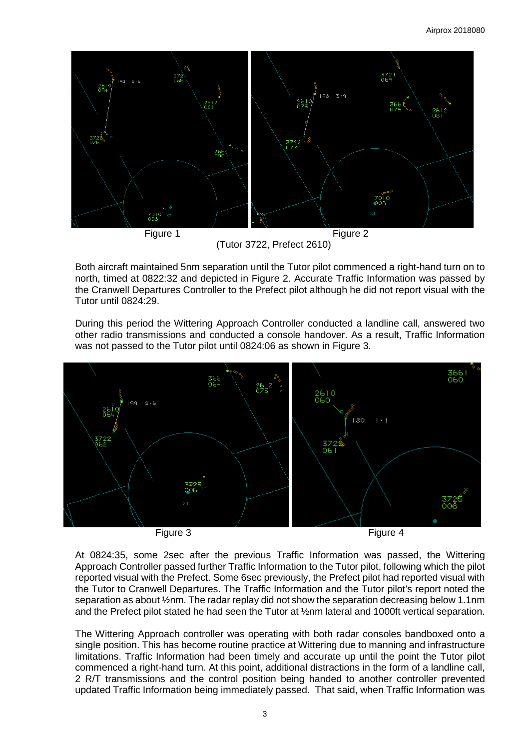

(Tutor 3722, Prefect 2610)

Both aircraft maintained 5nm separation until the Tutor pilot commenced a right-hand turn on to north, timed at 0822:32 and depicted in Figure 2. Accurate Traffic Information was passed by the Cranwell Departures Controller to the Prefect pilot although he did not report visual with the Tutor until 0824:29.

During this period the Wittering Approach Controller conducted a landline call, answered two other radio transmissions and conducted a console handover. As a result, Traffic Information was not passed to the Tutor pilot until 0824:06 as shown in Figure 3.



At 0824:35, some 2sec after the previous Traffic Information was passed, the Wittering Approach Controller passed further Traffic Information to the Tutor pilot, following which the pilot reported visual with the Prefect. Some 6sec previously, the Prefect pilot had reported visual with the Tutor to Cranwell Departures. The Traffic Information and the Tutor pilot's report noted the separation as about ½nm. The radar replay did not show the separation decreasing below 1.1nm and the Prefect pilot stated he had seen the Tutor at ½nm lateral and 1000ft vertical separation.

The Wittering Approach controller was operating with both radar consoles bandboxed onto a single position. This has become routine practice at Wittering due to manning and infrastructure limitations. Traffic Information had been timely and accurate up until the point the Tutor pilot commenced a right-hand turn. At this point, additional distractions in the form of a landline call, 2 R/T transmissions and the control position being handed to another controller prevented updated Traffic Information being immediately passed. That said, when Traffic Information was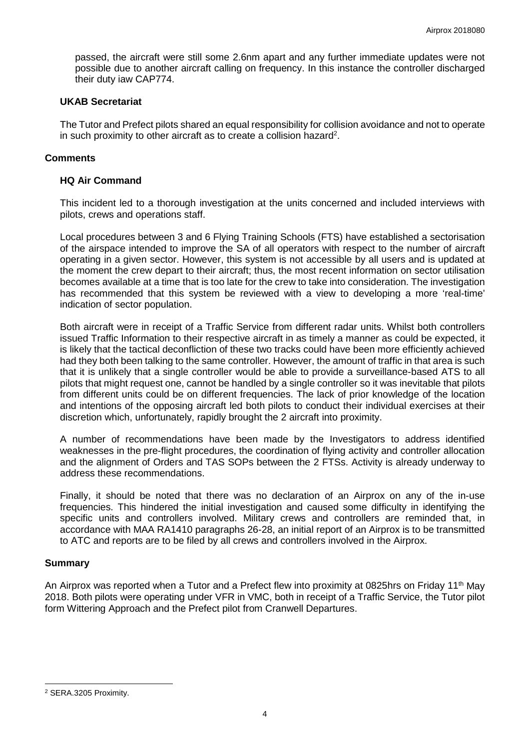passed, the aircraft were still some 2.6nm apart and any further immediate updates were not possible due to another aircraft calling on frequency. In this instance the controller discharged their duty iaw CAP774.

#### **UKAB Secretariat**

The Tutor and Prefect pilots shared an equal responsibility for collision avoidance and not to operate in such proximity to other aircraft as to create a collision hazard<sup>2</sup>.

### **Comments**

#### **HQ Air Command**

This incident led to a thorough investigation at the units concerned and included interviews with pilots, crews and operations staff.

Local procedures between 3 and 6 Flying Training Schools (FTS) have established a sectorisation of the airspace intended to improve the SA of all operators with respect to the number of aircraft operating in a given sector. However, this system is not accessible by all users and is updated at the moment the crew depart to their aircraft; thus, the most recent information on sector utilisation becomes available at a time that is too late for the crew to take into consideration. The investigation has recommended that this system be reviewed with a view to developing a more 'real-time' indication of sector population.

Both aircraft were in receipt of a Traffic Service from different radar units. Whilst both controllers issued Traffic Information to their respective aircraft in as timely a manner as could be expected, it is likely that the tactical deconfliction of these two tracks could have been more efficiently achieved had they both been talking to the same controller. However, the amount of traffic in that area is such that it is unlikely that a single controller would be able to provide a surveillance-based ATS to all pilots that might request one, cannot be handled by a single controller so it was inevitable that pilots from different units could be on different frequencies. The lack of prior knowledge of the location and intentions of the opposing aircraft led both pilots to conduct their individual exercises at their discretion which, unfortunately, rapidly brought the 2 aircraft into proximity.

A number of recommendations have been made by the Investigators to address identified weaknesses in the pre-flight procedures, the coordination of flying activity and controller allocation and the alignment of Orders and TAS SOPs between the 2 FTSs. Activity is already underway to address these recommendations.

Finally, it should be noted that there was no declaration of an Airprox on any of the in-use frequencies. This hindered the initial investigation and caused some difficulty in identifying the specific units and controllers involved. Military crews and controllers are reminded that, in accordance with MAA RA1410 paragraphs 26-28, an initial report of an Airprox is to be transmitted to ATC and reports are to be filed by all crews and controllers involved in the Airprox.

#### **Summary**

An Airprox was reported when a Tutor and a Prefect flew into proximity at 0825hrs on Friday 11<sup>th</sup> May 2018. Both pilots were operating under VFR in VMC, both in receipt of a Traffic Service, the Tutor pilot form Wittering Approach and the Prefect pilot from Cranwell Departures.

 $\overline{\phantom{a}}$ 

<sup>2</sup> SERA.3205 Proximity.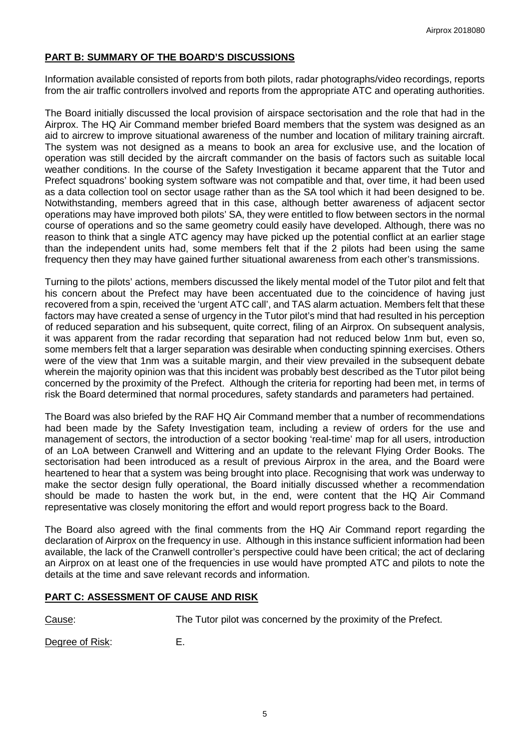## **PART B: SUMMARY OF THE BOARD'S DISCUSSIONS**

Information available consisted of reports from both pilots, radar photographs/video recordings, reports from the air traffic controllers involved and reports from the appropriate ATC and operating authorities.

The Board initially discussed the local provision of airspace sectorisation and the role that had in the Airprox. The HQ Air Command member briefed Board members that the system was designed as an aid to aircrew to improve situational awareness of the number and location of military training aircraft. The system was not designed as a means to book an area for exclusive use, and the location of operation was still decided by the aircraft commander on the basis of factors such as suitable local weather conditions. In the course of the Safety Investigation it became apparent that the Tutor and Prefect squadrons' booking system software was not compatible and that, over time, it had been used as a data collection tool on sector usage rather than as the SA tool which it had been designed to be. Notwithstanding, members agreed that in this case, although better awareness of adjacent sector operations may have improved both pilots' SA, they were entitled to flow between sectors in the normal course of operations and so the same geometry could easily have developed. Although, there was no reason to think that a single ATC agency may have picked up the potential conflict at an earlier stage than the independent units had, some members felt that if the 2 pilots had been using the same frequency then they may have gained further situational awareness from each other's transmissions.

Turning to the pilots' actions, members discussed the likely mental model of the Tutor pilot and felt that his concern about the Prefect may have been accentuated due to the coincidence of having just recovered from a spin, received the 'urgent ATC call', and TAS alarm actuation. Members felt that these factors may have created a sense of urgency in the Tutor pilot's mind that had resulted in his perception of reduced separation and his subsequent, quite correct, filing of an Airprox. On subsequent analysis, it was apparent from the radar recording that separation had not reduced below 1nm but, even so, some members felt that a larger separation was desirable when conducting spinning exercises. Others were of the view that 1nm was a suitable margin, and their view prevailed in the subsequent debate wherein the majority opinion was that this incident was probably best described as the Tutor pilot being concerned by the proximity of the Prefect. Although the criteria for reporting had been met, in terms of risk the Board determined that normal procedures, safety standards and parameters had pertained.

The Board was also briefed by the RAF HQ Air Command member that a number of recommendations had been made by the Safety Investigation team, including a review of orders for the use and management of sectors, the introduction of a sector booking 'real-time' map for all users, introduction of an LoA between Cranwell and Wittering and an update to the relevant Flying Order Books. The sectorisation had been introduced as a result of previous Airprox in the area, and the Board were heartened to hear that a system was being brought into place. Recognising that work was underway to make the sector design fully operational, the Board initially discussed whether a recommendation should be made to hasten the work but, in the end, were content that the HQ Air Command representative was closely monitoring the effort and would report progress back to the Board.

The Board also agreed with the final comments from the HQ Air Command report regarding the declaration of Airprox on the frequency in use. Although in this instance sufficient information had been available, the lack of the Cranwell controller's perspective could have been critical; the act of declaring an Airprox on at least one of the frequencies in use would have prompted ATC and pilots to note the details at the time and save relevant records and information.

## **PART C: ASSESSMENT OF CAUSE AND RISK**

Cause: The Tutor pilot was concerned by the proximity of the Prefect.

Degree of Risk: E.